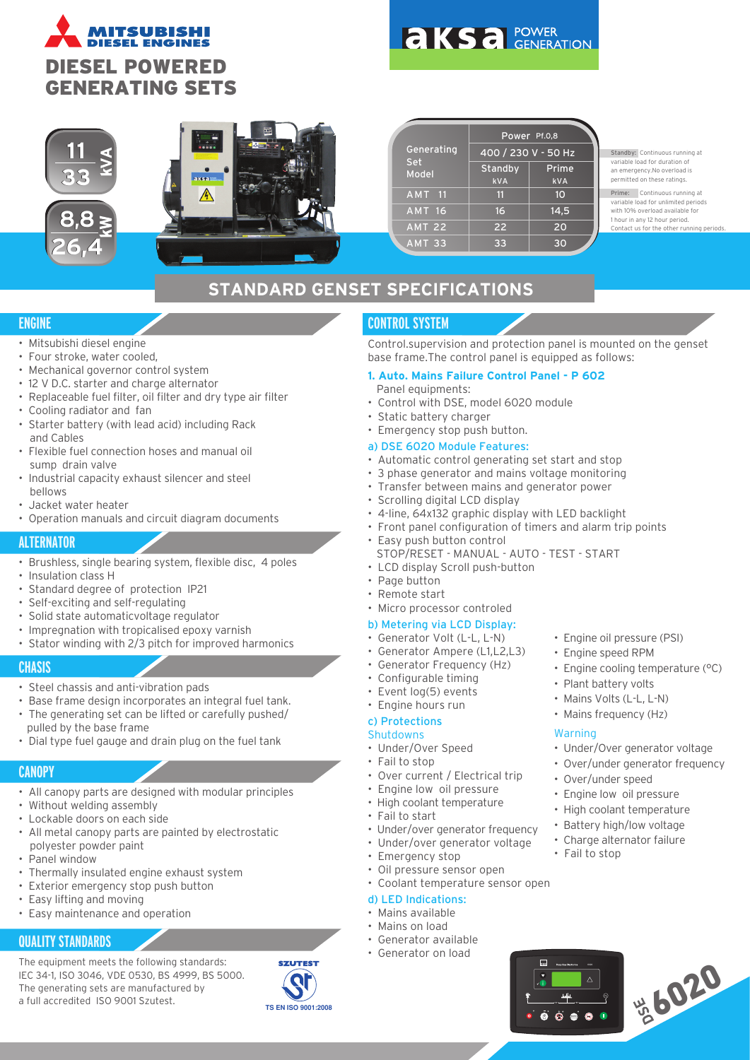

# **AKSA POWER**



|               | Power Pf.0,8        |            |  |
|---------------|---------------------|------------|--|
| Generating    | 400 / 230 V - 50 Hz |            |  |
| Set<br>Model  | <b>Standby</b>      | Prime      |  |
|               | <b>kVA</b>          | <b>kVA</b> |  |
| <b>AMT 11</b> | 11                  | 10         |  |
| <b>AMT 16</b> | 16                  | 14,5       |  |
| <b>AMT 22</b> | 22                  | 20         |  |
| <b>AMT 33</b> | 33                  | 30         |  |

Standby: Continuous running at variable load for duration of an emergency.No overload is permitted on these ratings.

Prime: Continuous running at variable load for unlimited periods with 10% overload available for 1 hour in any 12 hour period. .<br>Contact us for the other ru

## **STANDARD GENSET SPECIFICATIONS**

## **ENGINE**

- Mitsubishi diesel engine
- Four stroke, water cooled,
- Mechanical governor control system
- 12 V D.C. starter and charge alternator
- Replaceable fuel filter, oil filter and dry type air filter
- Cooling radiator and fan
- Starter battery (with lead acid) including Rack and Cables
- Flexible fuel connection hoses and manual oil sump drain valve
- Industrial capacity exhaust silencer and steel bellows
- Jacket water heater
- Operation manuals and circuit diagram documents

## **ALTERNATOR**

- Brushless, single bearing system, flexible disc, 4 poles
- Insulation class H
- Standard degree of protection IP21
- Self-exciting and self-regulating
- Solid state automaticvoltage regulator
- Impregnation with tropicalised epoxy varnish
- Stator winding with 2/3 pitch for improved harmonics

## **CHASIS**

- Steel chassis and anti-vibration pads
- Base frame design incorporates an integral fuel tank.
- The generating set can be lifted or carefully pushed/ pulled by the base frame
- Dial type fuel gauge and drain plug on the fuel tank

## **CANOPY**

- All canopy parts are designed with modular principles
- Without welding assembly
- Lockable doors on each side
- All metal canopy parts are painted by electrostatic polyester powder paint
- Panel window
- Thermally insulated engine exhaust system
- Exterior emergency stop push button
- Easy lifting and moving
- Easy maintenance and operation

## **QUALITY STANDARDS**

The equipment meets the following standards: IEC 34-1, ISO 3046, VDE 0530, BS 4999, BS 5000. The generating sets are manufactured by a full accredited ISO 9001 Szutest.



## **CONTROL SYSTEM**

Control.supervision and protection panel is mounted on the genset base frame.The control panel is equipped as follows:

#### **1. Auto. Mains Failure Control Panel - P 602** Panel equipments:

- Control with DSE, model 6020 module
- Static battery charger
- Emergency stop push button.

#### a) DSE 6020 Module Features:

- Automatic control generating set start and stop
- 3 phase generator and mains voltage monitoring
- Transfer between mains and generator power
- Scrolling digital LCD display
- 4-line, 64x132 graphic display with LED backlight
- Front panel configuration of timers and alarm trip points
- Easy push button control
- STOP/RESET MANUAL AUTO TEST START
- LCD display Scroll push-button
- Page button
- Remote start
- Micro processor controled

#### b) Metering via LCD Display:

- Generator Volt (L-L, L-N)
- Generator Ampere (L1,L2,L3)
- Generator Frequency (Hz)
- Configurable timing
- Event log(5) events
- Engine hours run

## c) Protections

## **Shutdowns**

- Under/Over Speed
- Fail to stop
- Over current / Electrical trip
- Engine low oil pressure • High coolant temperature
- 
- Fail to start
- Under/over generator frequency • Under/over generator voltage
- 
- Emergency stop
- Oil pressure sensor open • Coolant temperature sensor open

## d) LED Indications:

- Mains available
- Mains on load
- Generator available
- Generator on load
- Engine oil pressure (PSI)
- Engine speed RPM
- Engine cooling temperature (°C)
- Plant battery volts
- Mains Volts (L-L, L-N)
- Mains frequency (Hz)

#### **Warning**

• Fail to stop

**DSE** Deep Sea Electronics 602

- Under/Over generator voltage
	- Over/under generator frequency
	- Over/under speed
	- Engine low oil pressure
	- High coolant temperature Battery high/low voltage

• Charge alternator failure

**AUTORISO 20**